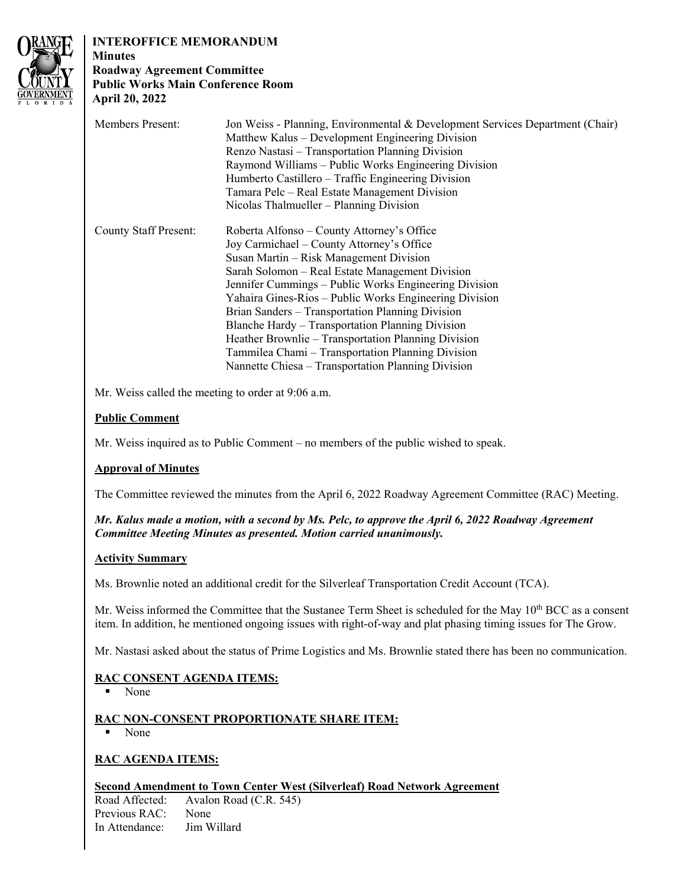

# **INTEROFFICE MEMORANDUM Minutes**

#### **Roadway Agreement Committee Public Works Main Conference Room April 20, 2022**

| <b>Members Present:</b>      | Jon Weiss - Planning, Environmental & Development Services Department (Chair)<br>Matthew Kalus – Development Engineering Division<br>Renzo Nastasi – Transportation Planning Division<br>Raymond Williams – Public Works Engineering Division<br>Humberto Castillero – Traffic Engineering Division<br>Tamara Pelc – Real Estate Management Division<br>Nicolas Thalmueller – Planning Division                                                                                                                                                                                    |
|------------------------------|------------------------------------------------------------------------------------------------------------------------------------------------------------------------------------------------------------------------------------------------------------------------------------------------------------------------------------------------------------------------------------------------------------------------------------------------------------------------------------------------------------------------------------------------------------------------------------|
| <b>County Staff Present:</b> | Roberta Alfonso – County Attorney's Office<br>Joy Carmichael – County Attorney's Office<br>Susan Martin – Risk Management Division<br>Sarah Solomon – Real Estate Management Division<br>Jennifer Cummings – Public Works Engineering Division<br>Yahaira Gines-Rios – Public Works Engineering Division<br>Brian Sanders – Transportation Planning Division<br>Blanche Hardy - Transportation Planning Division<br>Heather Brownlie – Transportation Planning Division<br>Tammilea Chami – Transportation Planning Division<br>Nannette Chiesa – Transportation Planning Division |

Mr. Weiss called the meeting to order at 9:06 a.m.

# **Public Comment**

Mr. Weiss inquired as to Public Comment – no members of the public wished to speak.

## **Approval of Minutes**

The Committee reviewed the minutes from the April 6, 2022 Roadway Agreement Committee (RAC) Meeting.

*Mr. Kalus made a motion, with a second by Ms. Pelc, to approve the April 6, 2022 Roadway Agreement Committee Meeting Minutes as presented. Motion carried unanimously.* 

## **Activity Summary**

Ms. Brownlie noted an additional credit for the Silverleaf Transportation Credit Account (TCA).

Mr. Weiss informed the Committee that the Sustanee Term Sheet is scheduled for the May 10<sup>th</sup> BCC as a consent item. In addition, he mentioned ongoing issues with right-of-way and plat phasing timing issues for The Grow.

Mr. Nastasi asked about the status of Prime Logistics and Ms. Brownlie stated there has been no communication.

## **RAC CONSENT AGENDA ITEMS:**

• None

## **RAC NON-CONSENT PROPORTIONATE SHARE ITEM:**

None

## **RAC AGENDA ITEMS:**

### **Second Amendment to Town Center West (Silverleaf) Road Network Agreement**

Road Affected: Avalon Road (C.R. 545) Previous RAC: None In Attendance: Jim Willard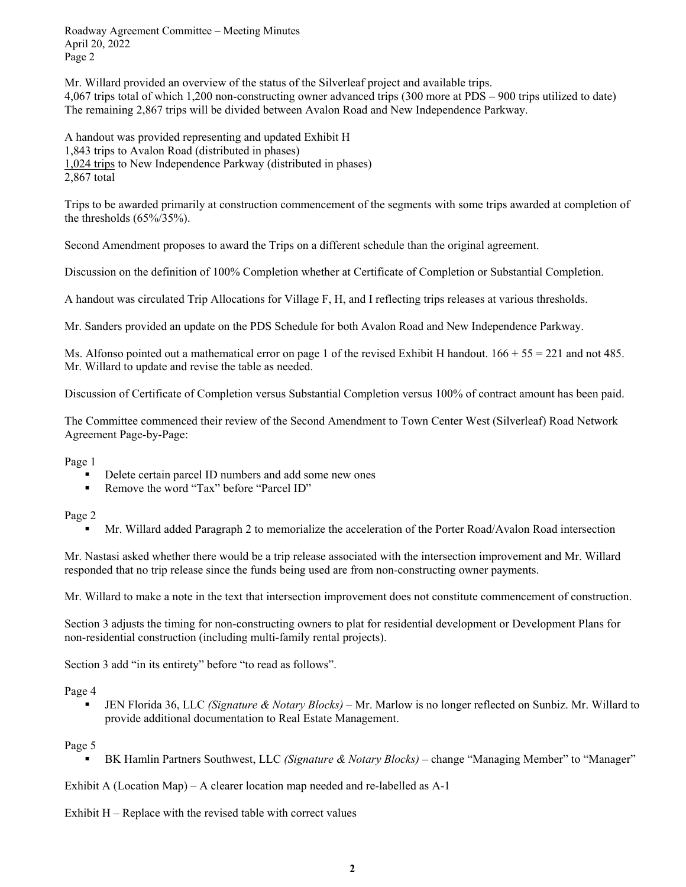Roadway Agreement Committee – Meeting Minutes April 20, 2022 Page 2

Mr. Willard provided an overview of the status of the Silverleaf project and available trips. 4,067 trips total of which 1,200 non-constructing owner advanced trips (300 more at PDS – 900 trips utilized to date) The remaining 2,867 trips will be divided between Avalon Road and New Independence Parkway.

A handout was provided representing and updated Exhibit H 1,843 trips to Avalon Road (distributed in phases) 1,024 trips to New Independence Parkway (distributed in phases) 2,867 total

Trips to be awarded primarily at construction commencement of the segments with some trips awarded at completion of the thresholds (65%/35%).

Second Amendment proposes to award the Trips on a different schedule than the original agreement.

Discussion on the definition of 100% Completion whether at Certificate of Completion or Substantial Completion.

A handout was circulated Trip Allocations for Village F, H, and I reflecting trips releases at various thresholds.

Mr. Sanders provided an update on the PDS Schedule for both Avalon Road and New Independence Parkway.

Ms. Alfonso pointed out a mathematical error on page 1 of the revised Exhibit H handout.  $166 + 55 = 221$  and not 485. Mr. Willard to update and revise the table as needed.

Discussion of Certificate of Completion versus Substantial Completion versus 100% of contract amount has been paid.

The Committee commenced their review of the Second Amendment to Town Center West (Silverleaf) Road Network Agreement Page-by-Page:

Page 1

- Delete certain parcel ID numbers and add some new ones
- Remove the word "Tax" before "Parcel ID"

#### Page 2

Mr. Willard added Paragraph 2 to memorialize the acceleration of the Porter Road/Avalon Road intersection

Mr. Nastasi asked whether there would be a trip release associated with the intersection improvement and Mr. Willard responded that no trip release since the funds being used are from non-constructing owner payments.

Mr. Willard to make a note in the text that intersection improvement does not constitute commencement of construction.

Section 3 adjusts the timing for non-constructing owners to plat for residential development or Development Plans for non-residential construction (including multi-family rental projects).

Section 3 add "in its entirety" before "to read as follows".

#### Page 4

 JEN Florida 36, LLC *(Signature & Notary Blocks)* – Mr. Marlow is no longer reflected on Sunbiz. Mr. Willard to provide additional documentation to Real Estate Management.

#### Page 5

BK Hamlin Partners Southwest, LLC *(Signature & Notary Blocks)* – change "Managing Member" to "Manager"

Exhibit A (Location Map) – A clearer location map needed and re-labelled as A-1

Exhibit  $H$  – Replace with the revised table with correct values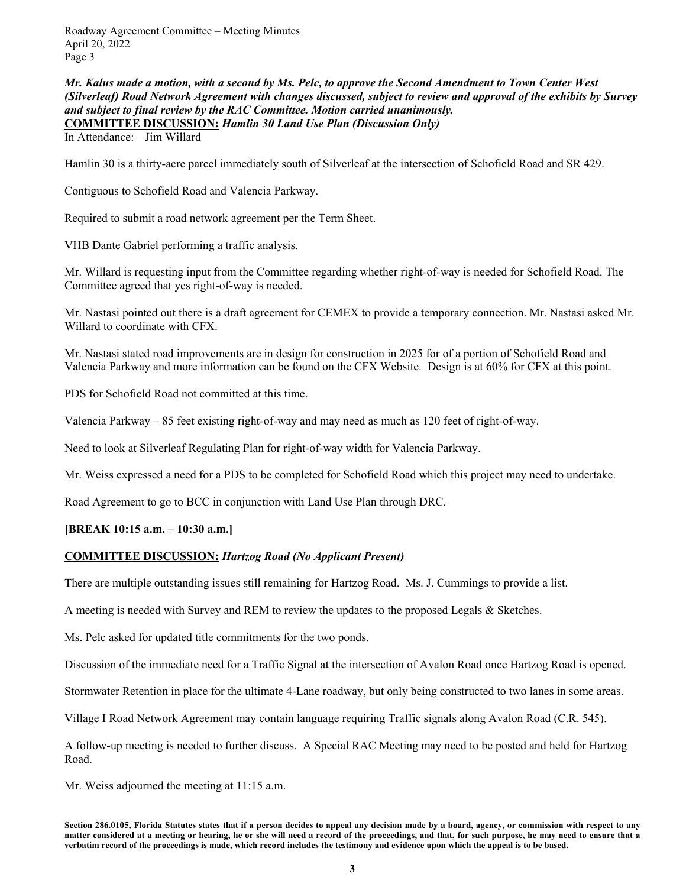Roadway Agreement Committee – Meeting Minutes April 20, 2022 Page 3

*Mr. Kalus made a motion, with a second by Ms. Pelc, to approve the Second Amendment to Town Center West (Silverleaf) Road Network Agreement with changes discussed, subject to review and approval of the exhibits by Survey and subject to final review by the RAC Committee. Motion carried unanimously.*  **COMMITTEE DISCUSSION:** *Hamlin 30 Land Use Plan (Discussion Only)* 

In Attendance: Jim Willard

Hamlin 30 is a thirty-acre parcel immediately south of Silverleaf at the intersection of Schofield Road and SR 429.

Contiguous to Schofield Road and Valencia Parkway.

Required to submit a road network agreement per the Term Sheet.

VHB Dante Gabriel performing a traffic analysis.

Mr. Willard is requesting input from the Committee regarding whether right-of-way is needed for Schofield Road. The Committee agreed that yes right-of-way is needed.

Mr. Nastasi pointed out there is a draft agreement for CEMEX to provide a temporary connection. Mr. Nastasi asked Mr. Willard to coordinate with CFX.

Mr. Nastasi stated road improvements are in design for construction in 2025 for of a portion of Schofield Road and Valencia Parkway and more information can be found on the CFX Website. Design is at 60% for CFX at this point.

PDS for Schofield Road not committed at this time.

Valencia Parkway – 85 feet existing right-of-way and may need as much as 120 feet of right-of-way.

Need to look at Silverleaf Regulating Plan for right-of-way width for Valencia Parkway.

Mr. Weiss expressed a need for a PDS to be completed for Schofield Road which this project may need to undertake.

Road Agreement to go to BCC in conjunction with Land Use Plan through DRC.

#### **[BREAK 10:15 a.m. – 10:30 a.m.]**

### **COMMITTEE DISCUSSION:** *Hartzog Road (No Applicant Present)*

There are multiple outstanding issues still remaining for Hartzog Road. Ms. J. Cummings to provide a list.

A meeting is needed with Survey and REM to review the updates to the proposed Legals & Sketches.

Ms. Pelc asked for updated title commitments for the two ponds.

Discussion of the immediate need for a Traffic Signal at the intersection of Avalon Road once Hartzog Road is opened.

Stormwater Retention in place for the ultimate 4-Lane roadway, but only being constructed to two lanes in some areas.

Village I Road Network Agreement may contain language requiring Traffic signals along Avalon Road (C.R. 545).

A follow-up meeting is needed to further discuss. A Special RAC Meeting may need to be posted and held for Hartzog Road.

Mr. Weiss adjourned the meeting at 11:15 a.m.